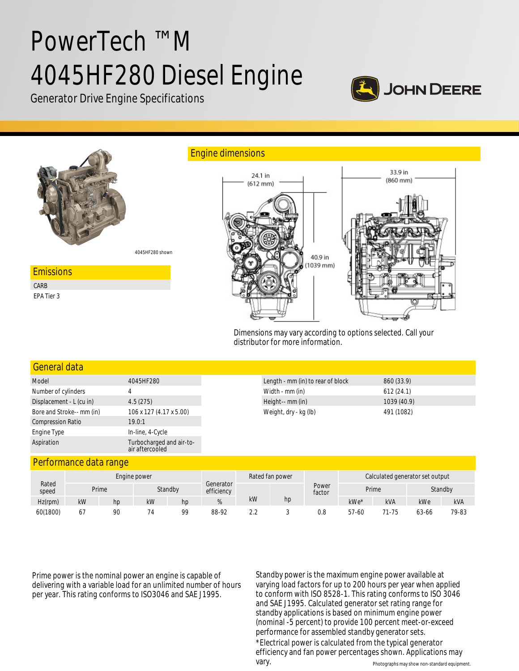# PowerTech ™ M 4045HF280 Diesel Engine



Generator Drive Engine Specifications



Dimensions may vary according to options selected. Call your distributor for more information.

| General data              |                                             |
|---------------------------|---------------------------------------------|
| Model                     | 4045HF280                                   |
| Number of cylinders       |                                             |
| Displacement - L (cu in)  | 4.5(275)                                    |
| Bore and Stroke-- mm (in) | 106 x 127 (4.17 x 5.00)                     |
| <b>Compression Ratio</b>  | 19.0:1                                      |
| Engine Type               | In-line, 4-Cycle                            |
| Aspiration                | Turbocharged and air-to-<br>air aftercooled |

#### Performance data range

|                | Engine power |    |         |    | Rated fan power         |    |    |                 | Calculated generator set output |       |         |            |
|----------------|--------------|----|---------|----|-------------------------|----|----|-----------------|---------------------------------|-------|---------|------------|
| Rated<br>speed | Prime        |    | Standby |    | Generator<br>efficiency |    |    | Power<br>factor | Prime                           |       | Standby |            |
| Hz(rpm)        | kW           | hp | kW      | hp | 70                      | kW | hp |                 | $kWe*$                          | kVA   | kWe     | <b>kVA</b> |
| 60(1800)       | 67           | 90 | 74      | 99 | 88-92                   |    |    | 0.8             | 57-60                           | 71-75 | 63-66   | 79-83      |

Prime power is the nominal power an engine is capable of delivering with a variable load for an unlimited number of hours per year. This rating conforms to ISO3046 and SAE J1995.

Standby power is the maximum engine power available at varying load factors for up to 200 hours per year when applied to conform with ISO 8528-1. This rating conforms to ISO 3046 and SAE J1995. Calculated generator set rating range for standby applications is based on minimum engine power (nominal -5 percent) to provide 100 percent meet-or-exceed performance for assembled standby generator sets. \*Electrical power is calculated from the typical generator

Photographs may show non-standard equipment. efficiency and fan power percentages shown. Applications may

vary.